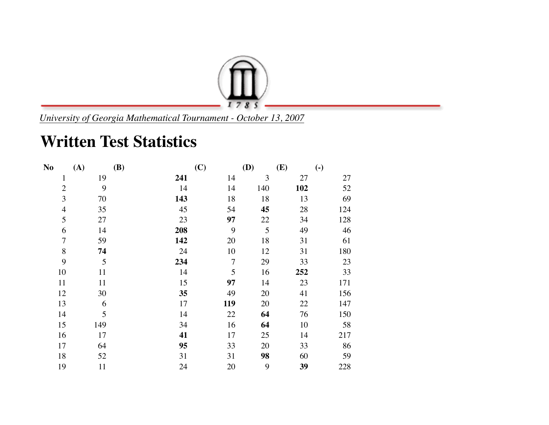

*University of Georgia Mathematical Tournament - October 13, 2007*

## **Written Test Statistics**

| N <sub>0</sub> | (A) | <b>(B)</b> | (C)            | (D) | (E) | $\left( \text{-} \right)$ |
|----------------|-----|------------|----------------|-----|-----|---------------------------|
| $\mathbf{1}$   | 19  | 241        | 14             | 3   | 27  | 27                        |
| $\overline{2}$ | 9   | 14         | 14             | 140 | 102 | 52                        |
| 3              | 70  | 143        | 18             | 18  | 13  | 69                        |
| $\overline{4}$ | 35  | 45         | 54             | 45  | 28  | 124                       |
| 5              | 27  | 23         | 97             | 22  | 34  | 128                       |
| 6              | 14  | 208        | 9              | 5   | 49  | 46                        |
| $\overline{7}$ | 59  | 142        | 20             | 18  | 31  | 61                        |
| 8              | 74  | 24         | 10             | 12  | 31  | 180                       |
| 9              | 5   | 234        | $\overline{7}$ | 29  | 33  | 23                        |
| 10             | 11  | 14         | 5              | 16  | 252 | 33                        |
| 11             | 11  | 15         | 97             | 14  | 23  | 171                       |
| 12             | 30  | 35         | 49             | 20  | 41  | 156                       |
| 13             | 6   | 17         | 119            | 20  | 22  | 147                       |
| 14             | 5   | 14         | 22             | 64  | 76  | 150                       |
| 15             | 149 | 34         | 16             | 64  | 10  | 58                        |
| 16             | 17  | 41         | 17             | 25  | 14  | 217                       |
| 17             | 64  | 95         | 33             | 20  | 33  | 86                        |
| 18             | 52  | 31         | 31             | 98  | 60  | 59                        |
| 19             | 11  | 24         | 20             | 9   | 39  | 228                       |